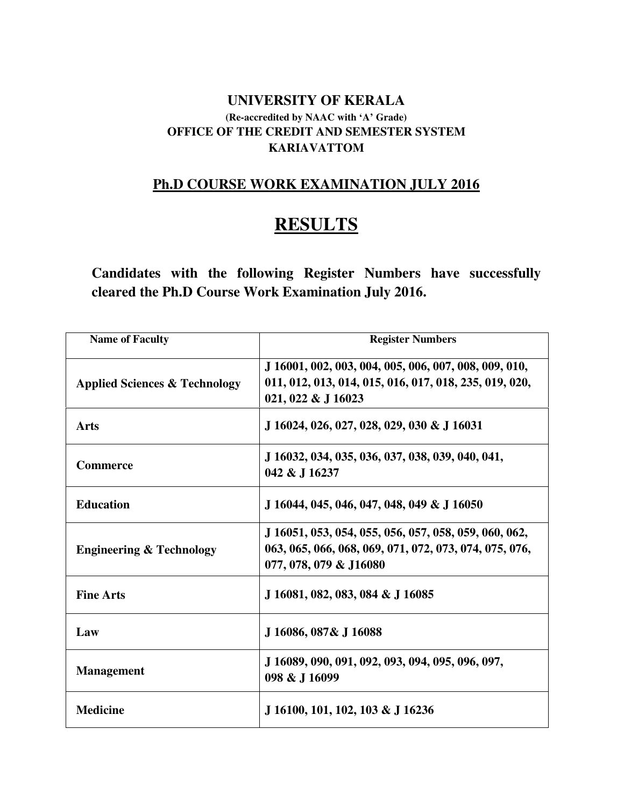#### **UNIVERSITY OF KERALA (Re-accredited by NAAC with 'A' Grade) OFFICE OF THE CREDIT AND SEMESTER SYSTEM KARIAVATTOM**

# **Ph.D COURSE WORK EXAMINATION JULY 2016**

# **RESULTS**

**Candidates with the following Register Numbers have successfully cleared the Ph.D Course Work Examination July 2016.** 

| <b>Name of Faculty</b>                   | <b>Register Numbers</b>                                                                                                                   |
|------------------------------------------|-------------------------------------------------------------------------------------------------------------------------------------------|
| <b>Applied Sciences &amp; Technology</b> | J 16001, 002, 003, 004, 005, 006, 007, 008, 009, 010,<br>011, 012, 013, 014, 015, 016, 017, 018, 235, 019, 020,<br>021, 022 & J 16023     |
| <b>Arts</b>                              | J 16024, 026, 027, 028, 029, 030 & J 16031                                                                                                |
| <b>Commerce</b>                          | J 16032, 034, 035, 036, 037, 038, 039, 040, 041,<br>042 & J 16237                                                                         |
| <b>Education</b>                         | J 16044, 045, 046, 047, 048, 049 & J 16050                                                                                                |
| <b>Engineering &amp; Technology</b>      | J 16051, 053, 054, 055, 056, 057, 058, 059, 060, 062,<br>063, 065, 066, 068, 069, 071, 072, 073, 074, 075, 076,<br>077, 078, 079 & J16080 |
| <b>Fine Arts</b>                         | J 16081, 082, 083, 084 & J 16085                                                                                                          |
| Law                                      | J 16086, 087& J 16088                                                                                                                     |
| <b>Management</b>                        | J 16089, 090, 091, 092, 093, 094, 095, 096, 097,<br>098 & J 16099                                                                         |
| <b>Medicine</b>                          | J 16100, 101, 102, 103 & J 16236                                                                                                          |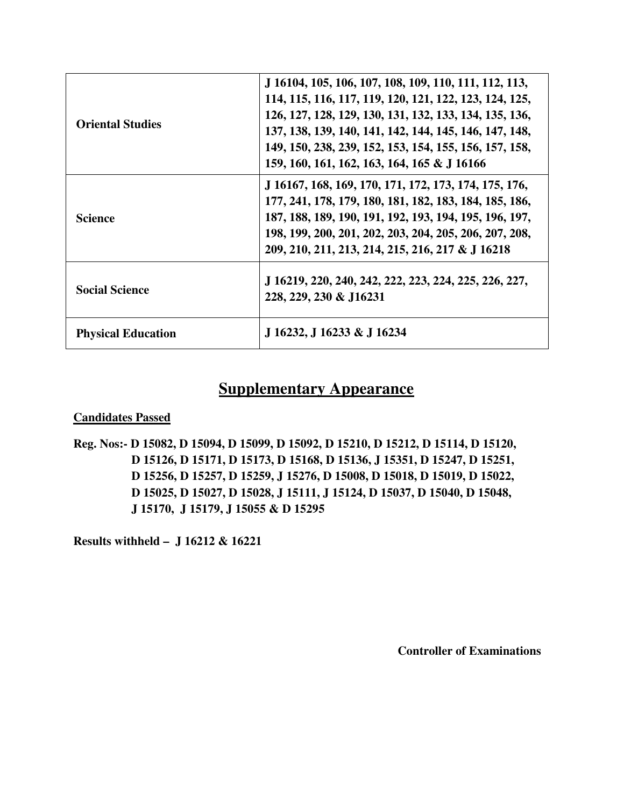| <b>Oriental Studies</b>   | J 16104, 105, 106, 107, 108, 109, 110, 111, 112, 113,<br>114, 115, 116, 117, 119, 120, 121, 122, 123, 124, 125,<br>126, 127, 128, 129, 130, 131, 132, 133, 134, 135, 136,<br>137, 138, 139, 140, 141, 142, 144, 145, 146, 147, 148,<br>149, 150, 238, 239, 152, 153, 154, 155, 156, 157, 158,<br>159, 160, 161, 162, 163, 164, 165 & J 16166 |
|---------------------------|----------------------------------------------------------------------------------------------------------------------------------------------------------------------------------------------------------------------------------------------------------------------------------------------------------------------------------------------|
| <b>Science</b>            | J 16167, 168, 169, 170, 171, 172, 173, 174, 175, 176,<br>177, 241, 178, 179, 180, 181, 182, 183, 184, 185, 186,<br>187, 188, 189, 190, 191, 192, 193, 194, 195, 196, 197,<br>198, 199, 200, 201, 202, 203, 204, 205, 206, 207, 208,<br>209, 210, 211, 213, 214, 215, 216, 217 & J 16218                                                      |
| <b>Social Science</b>     | J 16219, 220, 240, 242, 222, 223, 224, 225, 226, 227,<br>228, 229, 230 & J16231                                                                                                                                                                                                                                                              |
| <b>Physical Education</b> | J 16232, J 16233 & J 16234                                                                                                                                                                                                                                                                                                                   |

# **Supplementary Appearance**

#### **Candidates Passed**

**Reg. Nos:- D 15082, D 15094, D 15099, D 15092, D 15210, D 15212, D 15114, D 15120, D 15126, D 15171, D 15173, D 15168, D 15136, J 15351, D 15247, D 15251, D 15256, D 15257, D 15259, J 15276, D 15008, D 15018, D 15019, D 15022, D 15025, D 15027, D 15028, J 15111, J 15124, D 15037, D 15040, D 15048, J 15170, J 15179, J 15055 & D 15295** 

**Results withheld – J 16212 & 16221**

**Controller of Examinations**